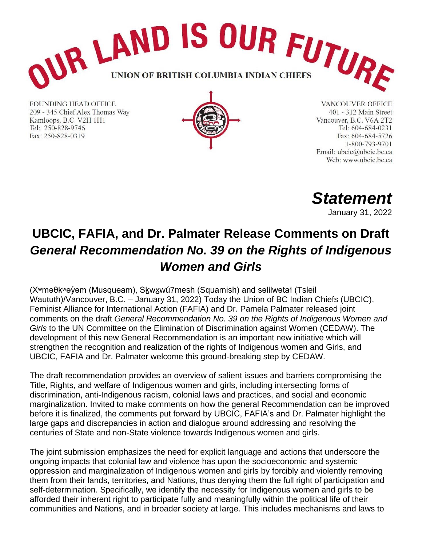

**FOUNDING HEAD OFFICE** 209 - 345 Chief Alex Thomas Way Kamloops, B.C. V2H 1H1 Tel: 250-828-9746 Fax: 250-828-0319



**VANCOUVER OFFICE** 401 - 312 Main Street Vancouver, B.C. V6A 2T2 Tel: 604-684-0231 Fax: 604-684-5726 1-800-793-9701 Email: ubcic@ubcic.bc.ca Web: www.ubcic.bc.ca

*Statement*

January 31, 2022

## **UBCIC, FAFIA, and Dr. Palmater Release Comments on Draft**  *General Recommendation No. 39 on the Rights of Indigenous Women and Girls*

(X<sup>w</sup>məθk<sup>w</sup>əγ̓əm (Musqueam), Skwxwú7mesh (Squamish) and səlilwətał (Tsleil Waututh)/Vancouver, B.C. – January 31, 2022) Today the Union of BC Indian Chiefs (UBCIC), Feminist Alliance for International Action (FAFIA) and Dr. Pamela Palmater released joint comments on the draft *General Recommendation No. 39 on the Rights of Indigenous Women and Girls* to the UN Committee on the Elimination of Discrimination against Women (CEDAW). The development of this new General Recommendation is an important new initiative which will strengthen the recognition and realization of the rights of Indigenous women and Girls, and UBCIC, FAFIA and Dr. Palmater welcome this ground-breaking step by CEDAW.

The draft recommendation provides an overview of salient issues and barriers compromising the Title, Rights, and welfare of Indigenous women and girls, including intersecting forms of discrimination, anti-Indigenous racism, colonial laws and practices, and social and economic marginalization. Invited to make comments on how the general Recommendation can be improved before it is finalized, the comments put forward by UBCIC, FAFIA's and Dr. Palmater highlight the large gaps and discrepancies in action and dialogue around addressing and resolving the centuries of State and non-State violence towards Indigenous women and girls.

The joint submission emphasizes the need for explicit language and actions that underscore the ongoing impacts that colonial law and violence has upon the socioeconomic and systemic oppression and marginalization of Indigenous women and girls by forcibly and violently removing them from their lands, territories, and Nations, thus denying them the full right of participation and self-determination. Specifically, we identify the necessity for Indigenous women and girls to be afforded their inherent right to participate fully and meaningfully within the political life of their communities and Nations, and in broader society at large. This includes mechanisms and laws to